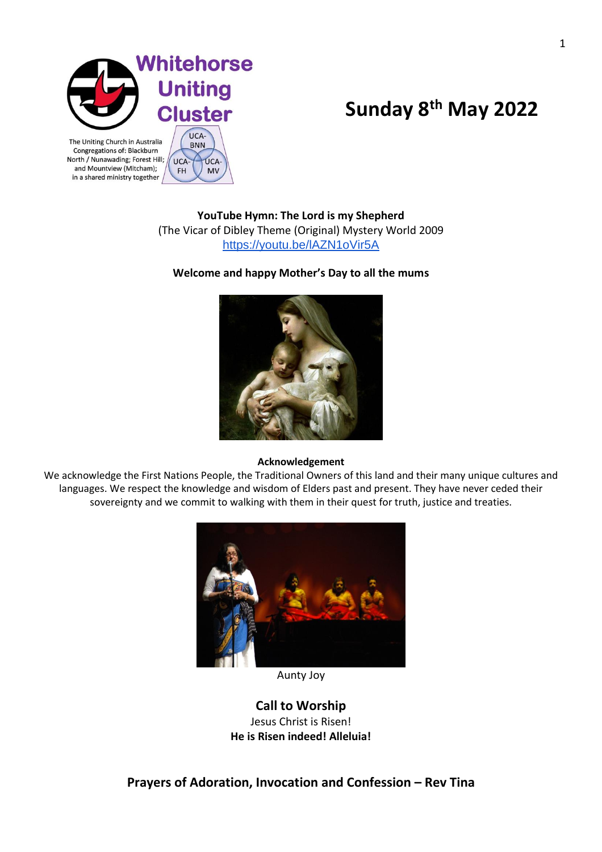

UCA-

FH

UCA-

**MV** 

North / Nunawading; Forest Hill;

and Mountview (Mitcham);

in a shared ministry together

# **Sunday 8th May 2022**

**YouTube Hymn: The Lord is my Shepherd** (The Vicar of Dibley Theme (Original) Mystery World 2009 <https://youtu.be/lAZN1oVir5A>

## **Welcome and happy Mother's Day to all the mums**



#### **Acknowledgement**

We acknowledge the First Nations People, the Traditional Owners of this land and their many unique cultures and languages. We respect the knowledge and wisdom of Elders past and present. They have never ceded their sovereignty and we commit to walking with them in their quest for truth, justice and treaties.



Aunty Joy

**Call to Worship**  Jesus Christ is Risen! **He is Risen indeed! Alleluia!**

**Prayers of Adoration, Invocation and Confession – Rev Tina**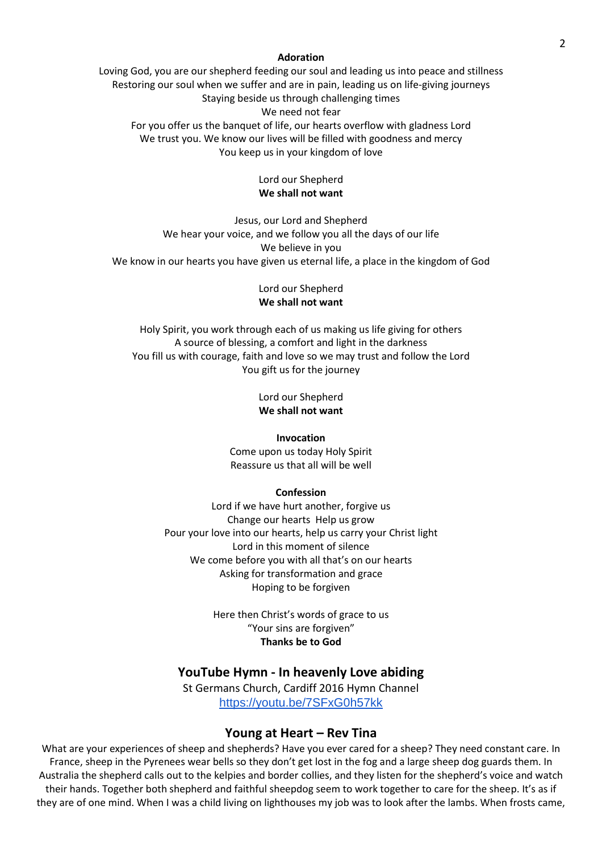#### **Adoration**

Loving God, you are our shepherd feeding our soul and leading us into peace and stillness Restoring our soul when we suffer and are in pain, leading us on life-giving journeys Staying beside us through challenging times We need not fear

For you offer us the banquet of life, our hearts overflow with gladness Lord We trust you. We know our lives will be filled with goodness and mercy You keep us in your kingdom of love

## Lord our Shepherd **We shall not want**

Jesus, our Lord and Shepherd We hear your voice, and we follow you all the days of our life We believe in you We know in our hearts you have given us eternal life, a place in the kingdom of God

## Lord our Shepherd **We shall not want**

Holy Spirit, you work through each of us making us life giving for others A source of blessing, a comfort and light in the darkness You fill us with courage, faith and love so we may trust and follow the Lord You gift us for the journey

> Lord our Shepherd **We shall not want**

#### **Invocation**

Come upon us today Holy Spirit Reassure us that all will be well

#### **Confession**

Lord if we have hurt another, forgive us Change our hearts Help us grow Pour your love into our hearts, help us carry your Christ light Lord in this moment of silence We come before you with all that's on our hearts Asking for transformation and grace Hoping to be forgiven

> Here then Christ's words of grace to us "Your sins are forgiven" **Thanks be to God**

#### **YouTube Hymn - In heavenly Love abiding**

St Germans Church, Cardiff 2016 Hymn Channel <https://youtu.be/7SFxG0h57kk>

#### **Young at Heart – Rev Tina**

What are your experiences of sheep and shepherds? Have you ever cared for a sheep? They need constant care. In France, sheep in the Pyrenees wear bells so they don't get lost in the fog and a large sheep dog guards them. In Australia the shepherd calls out to the kelpies and border collies, and they listen for the shepherd's voice and watch their hands. Together both shepherd and faithful sheepdog seem to work together to care for the sheep. It's as if they are of one mind. When I was a child living on lighthouses my job was to look after the lambs. When frosts came,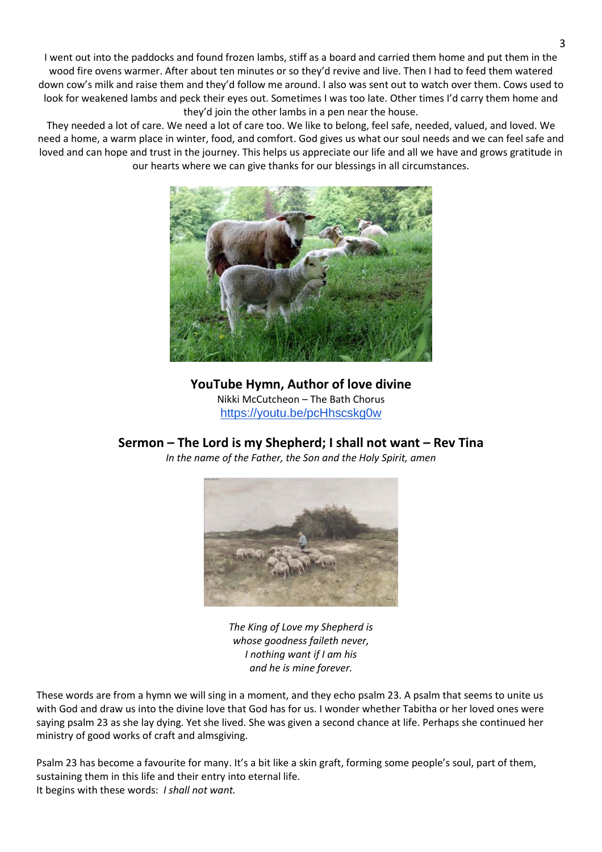I went out into the paddocks and found frozen lambs, stiff as a board and carried them home and put them in the wood fire ovens warmer. After about ten minutes or so they'd revive and live. Then I had to feed them watered down cow's milk and raise them and they'd follow me around. I also was sent out to watch over them. Cows used to look for weakened lambs and peck their eyes out. Sometimes I was too late. Other times I'd carry them home and they'd join the other lambs in a pen near the house.

They needed a lot of care. We need a lot of care too. We like to belong, feel safe, needed, valued, and loved. We need a home, a warm place in winter, food, and comfort. God gives us what our soul needs and we can feel safe and loved and can hope and trust in the journey. This helps us appreciate our life and all we have and grows gratitude in our hearts where we can give thanks for our blessings in all circumstances.



**YouTube Hymn, Author of love divine** Nikki McCutcheon – The Bath Chorus <https://youtu.be/pcHhscskg0w>

# **Sermon – The Lord is my Shepherd; I shall not want – Rev Tina**

*In the name of the Father, the Son and the Holy Spirit, amen*



*The King of Love my Shepherd is whose goodness faileth never, I nothing want if I am his and he is mine forever.*

These words are from a hymn we will sing in a moment, and they echo psalm 23. A psalm that seems to unite us with God and draw us into the divine love that God has for us. I wonder whether Tabitha or her loved ones were saying psalm 23 as she lay dying. Yet she lived. She was given a second chance at life. Perhaps she continued her ministry of good works of craft and almsgiving.

Psalm 23 has become a favourite for many. It's a bit like a skin graft, forming some people's soul, part of them, sustaining them in this life and their entry into eternal life. It begins with these words: *I shall not want.*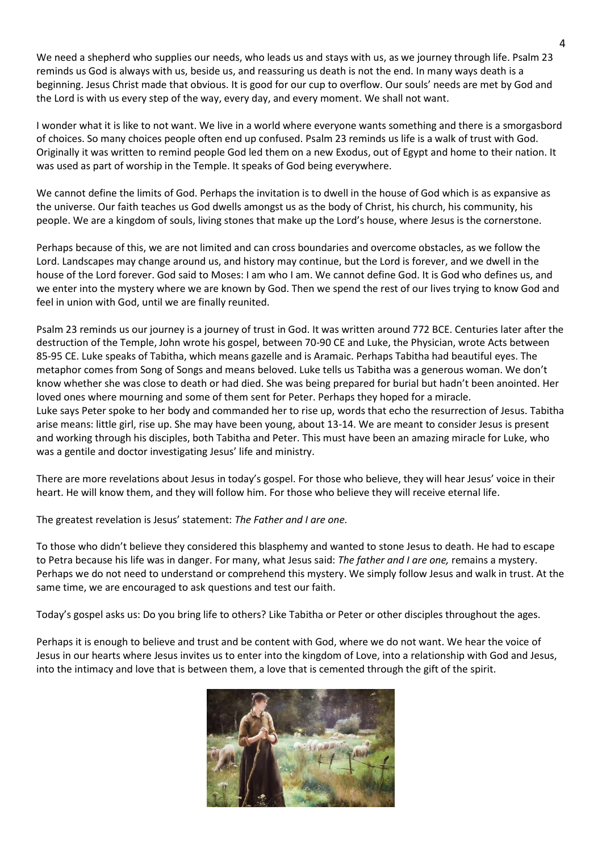We need a shepherd who supplies our needs, who leads us and stays with us, as we journey through life. Psalm 23 reminds us God is always with us, beside us, and reassuring us death is not the end. In many ways death is a beginning. Jesus Christ made that obvious. It is good for our cup to overflow. Our souls' needs are met by God and the Lord is with us every step of the way, every day, and every moment. We shall not want.

I wonder what it is like to not want. We live in a world where everyone wants something and there is a smorgasbord of choices. So many choices people often end up confused. Psalm 23 reminds us life is a walk of trust with God. Originally it was written to remind people God led them on a new Exodus, out of Egypt and home to their nation. It was used as part of worship in the Temple. It speaks of God being everywhere.

We cannot define the limits of God. Perhaps the invitation is to dwell in the house of God which is as expansive as the universe. Our faith teaches us God dwells amongst us as the body of Christ, his church, his community, his people. We are a kingdom of souls, living stones that make up the Lord's house, where Jesus is the cornerstone.

Perhaps because of this, we are not limited and can cross boundaries and overcome obstacles, as we follow the Lord. Landscapes may change around us, and history may continue, but the Lord is forever, and we dwell in the house of the Lord forever. God said to Moses: I am who I am. We cannot define God. It is God who defines us, and we enter into the mystery where we are known by God. Then we spend the rest of our lives trying to know God and feel in union with God, until we are finally reunited.

Psalm 23 reminds us our journey is a journey of trust in God. It was written around 772 BCE. Centuries later after the destruction of the Temple, John wrote his gospel, between 70-90 CE and Luke, the Physician, wrote Acts between 85-95 CE. Luke speaks of Tabitha, which means gazelle and is Aramaic. Perhaps Tabitha had beautiful eyes. The metaphor comes from Song of Songs and means beloved. Luke tells us Tabitha was a generous woman. We don't know whether she was close to death or had died. She was being prepared for burial but hadn't been anointed. Her loved ones where mourning and some of them sent for Peter. Perhaps they hoped for a miracle. Luke says Peter spoke to her body and commanded her to rise up, words that echo the resurrection of Jesus. Tabitha arise means: little girl, rise up. She may have been young, about 13-14. We are meant to consider Jesus is present and working through his disciples, both Tabitha and Peter. This must have been an amazing miracle for Luke, who was a gentile and doctor investigating Jesus' life and ministry.

There are more revelations about Jesus in today's gospel. For those who believe, they will hear Jesus' voice in their heart. He will know them, and they will follow him. For those who believe they will receive eternal life.

The greatest revelation is Jesus' statement: *The Father and I are one.*

To those who didn't believe they considered this blasphemy and wanted to stone Jesus to death. He had to escape to Petra because his life was in danger. For many, what Jesus said: *The father and I are one,* remains a mystery. Perhaps we do not need to understand or comprehend this mystery. We simply follow Jesus and walk in trust. At the same time, we are encouraged to ask questions and test our faith.

Today's gospel asks us: Do you bring life to others? Like Tabitha or Peter or other disciples throughout the ages.

Perhaps it is enough to believe and trust and be content with God, where we do not want. We hear the voice of Jesus in our hearts where Jesus invites us to enter into the kingdom of Love, into a relationship with God and Jesus, into the intimacy and love that is between them, a love that is cemented through the gift of the spirit.

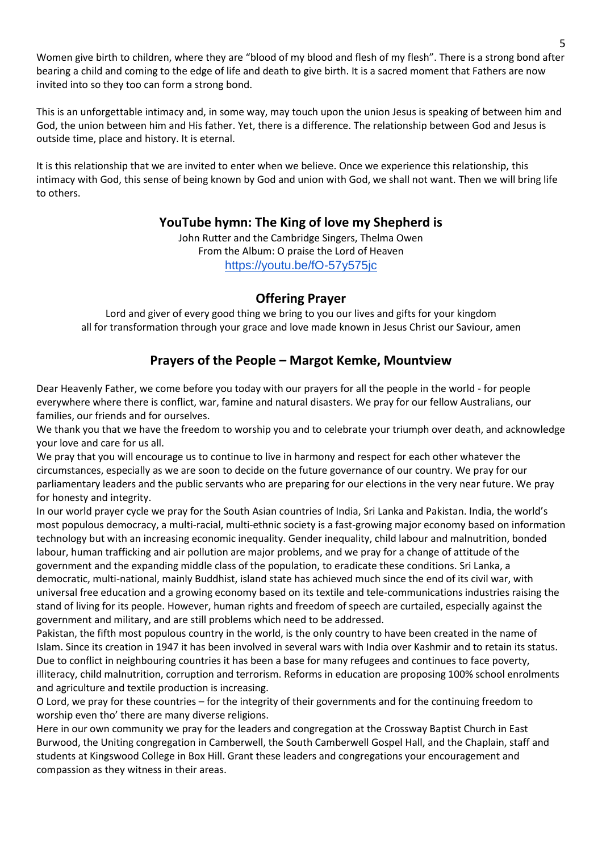Women give birth to children, where they are "blood of my blood and flesh of my flesh". There is a strong bond after bearing a child and coming to the edge of life and death to give birth. It is a sacred moment that Fathers are now invited into so they too can form a strong bond.

This is an unforgettable intimacy and, in some way, may touch upon the union Jesus is speaking of between him and God, the union between him and His father. Yet, there is a difference. The relationship between God and Jesus is outside time, place and history. It is eternal.

It is this relationship that we are invited to enter when we believe. Once we experience this relationship, this intimacy with God, this sense of being known by God and union with God, we shall not want. Then we will bring life to others.

# **YouTube hymn: The King of love my Shepherd is**

John Rutter and the Cambridge Singers, Thelma Owen From the Album: O praise the Lord of Heaven <https://youtu.be/fO-57y575jc>

## **Offering Prayer**

Lord and giver of every good thing we bring to you our lives and gifts for your kingdom all for transformation through your grace and love made known in Jesus Christ our Saviour, amen

# **Prayers of the People – Margot Kemke, Mountview**

Dear Heavenly Father, we come before you today with our prayers for all the people in the world - for people everywhere where there is conflict, war, famine and natural disasters. We pray for our fellow Australians, our families, our friends and for ourselves.

We thank you that we have the freedom to worship you and to celebrate your triumph over death, and acknowledge your love and care for us all.

We pray that you will encourage us to continue to live in harmony and respect for each other whatever the circumstances, especially as we are soon to decide on the future governance of our country. We pray for our parliamentary leaders and the public servants who are preparing for our elections in the very near future. We pray for honesty and integrity.

In our world prayer cycle we pray for the South Asian countries of India, Sri Lanka and Pakistan. India, the world's most populous democracy, a multi-racial, multi-ethnic society is a fast-growing major economy based on information technology but with an increasing economic inequality. Gender inequality, child labour and malnutrition, bonded labour, human trafficking and air pollution are major problems, and we pray for a change of attitude of the government and the expanding middle class of the population, to eradicate these conditions. Sri Lanka, a democratic, multi-national, mainly Buddhist, island state has achieved much since the end of its civil war, with universal free education and a growing economy based on its textile and tele-communications industries raising the stand of living for its people. However, human rights and freedom of speech are curtailed, especially against the government and military, and are still problems which need to be addressed.

Pakistan, the fifth most populous country in the world, is the only country to have been created in the name of Islam. Since its creation in 1947 it has been involved in several wars with India over Kashmir and to retain its status. Due to conflict in neighbouring countries it has been a base for many refugees and continues to face poverty, illiteracy, child malnutrition, corruption and terrorism. Reforms in education are proposing 100% school enrolments and agriculture and textile production is increasing.

O Lord, we pray for these countries – for the integrity of their governments and for the continuing freedom to worship even tho' there are many diverse religions.

Here in our own community we pray for the leaders and congregation at the Crossway Baptist Church in East Burwood, the Uniting congregation in Camberwell, the South Camberwell Gospel Hall, and the Chaplain, staff and students at Kingswood College in Box Hill. Grant these leaders and congregations your encouragement and compassion as they witness in their areas.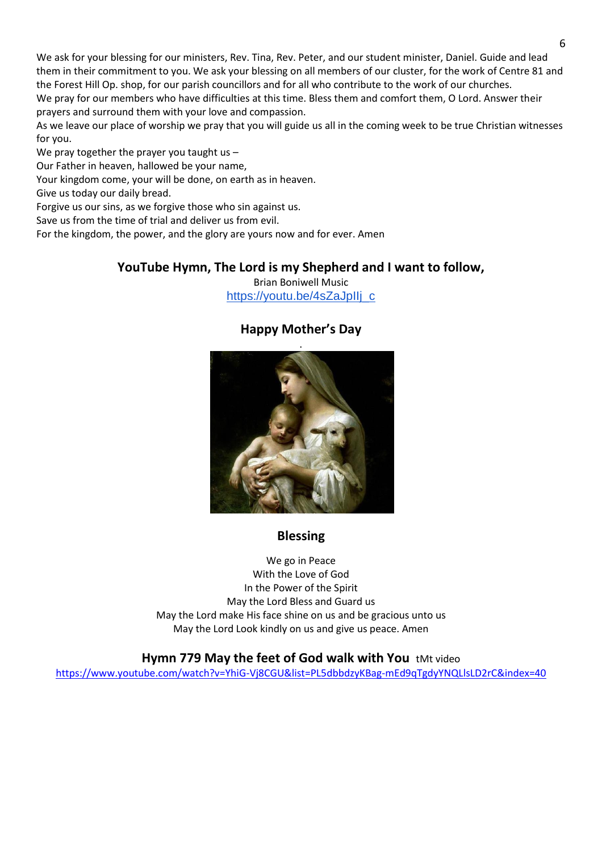We ask for your blessing for our ministers, Rev. Tina, Rev. Peter, and our student minister, Daniel. Guide and lead them in their commitment to you. We ask your blessing on all members of our cluster, for the work of Centre 81 and the Forest Hill Op. shop, for our parish councillors and for all who contribute to the work of our churches. We pray for our members who have difficulties at this time. Bless them and comfort them, O Lord. Answer their prayers and surround them with your love and compassion.

As we leave our place of worship we pray that you will guide us all in the coming week to be true Christian witnesses for you.

We pray together the prayer you taught us -

Our Father in heaven, hallowed be your name,

Your kingdom come, your will be done, on earth as in heaven.

Give us today our daily bread.

Forgive us our sins, as we forgive those who sin against us.

Save us from the time of trial and deliver us from evil.

For the kingdom, the power, and the glory are yours now and for ever. Amen

## **YouTube Hymn, The Lord is my Shepherd and I want to follow,**

Brian Boniwell Music [https://youtu.be/4sZaJpIIj\\_c](https://youtu.be/4sZaJpIIj_c)

## **Happy Mother's Day** .



# **Blessing**

We go in Peace With the Love of God In the Power of the Spirit May the Lord Bless and Guard us May the Lord make His face shine on us and be gracious unto us May the Lord Look kindly on us and give us peace. Amen

## **Hymn 779 May the feet of God walk with You** tMt video

<https://www.youtube.com/watch?v=YhiG-Vj8CGU&list=PL5dbbdzyKBag-mEd9qTgdyYNQLlsLD2rC&index=40>